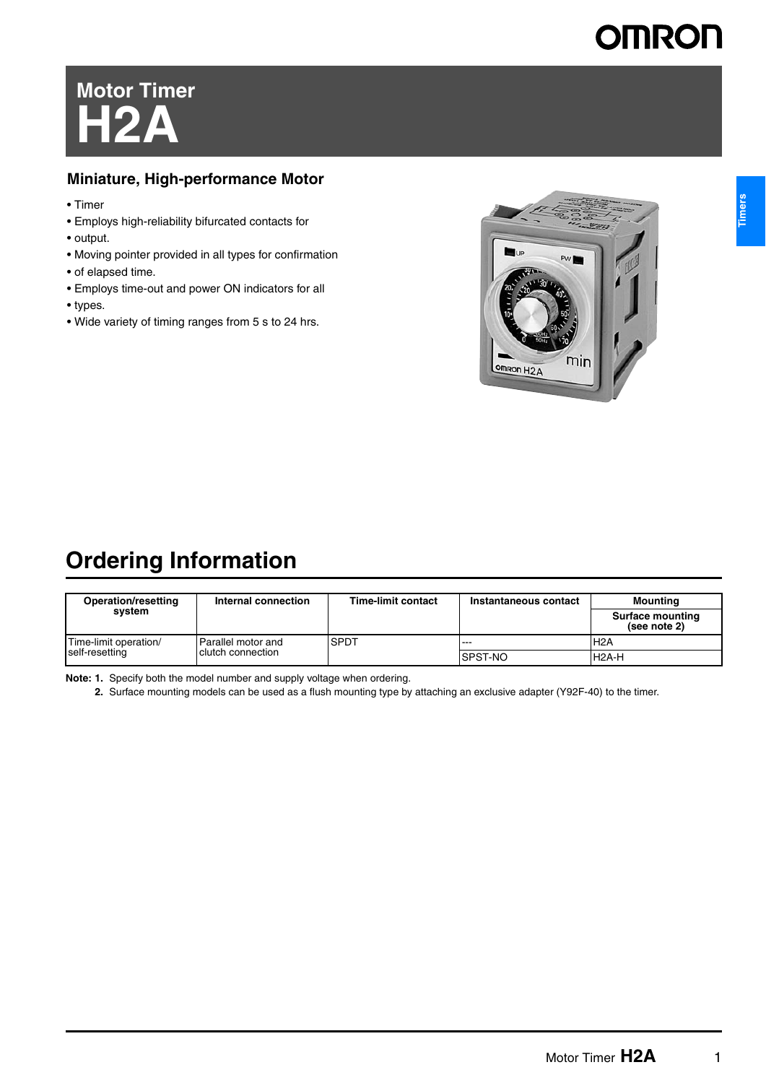# **OMRON**

# **Motor Timer H2A**

#### **Miniature, High-performance Motor**

- Timer
- Employs high-reliability bifurcated contacts for
- output.
- Moving pointer provided in all types for confirmation
- of elapsed time.
- Employs time-out and power ON indicators for all
- types.
- Wide variety of timing ranges from 5 s to 24 hrs.



## **Ordering Information**

| Operation/resetting                     | Internal connection                     | <b>Time-limit contact</b><br>Instantaneous contact |                | Mounting                                |
|-----------------------------------------|-----------------------------------------|----------------------------------------------------|----------------|-----------------------------------------|
| svstem                                  |                                         |                                                    |                | <b>Surface mounting</b><br>(see note 2) |
| Time-limit operation/<br>self-resetting | Parallel motor and<br>clutch connection | <b>SPDT</b>                                        | ---            | H <sub>2</sub> A                        |
|                                         |                                         |                                                    | <b>SPST-NO</b> | H <sub>2</sub> A-H                      |

**Note: 1.** Specify both the model number and supply voltage when ordering.

**2.** Surface mounting models can be used as a flush mounting type by attaching an exclusive adapter (Y92F-40) to the timer.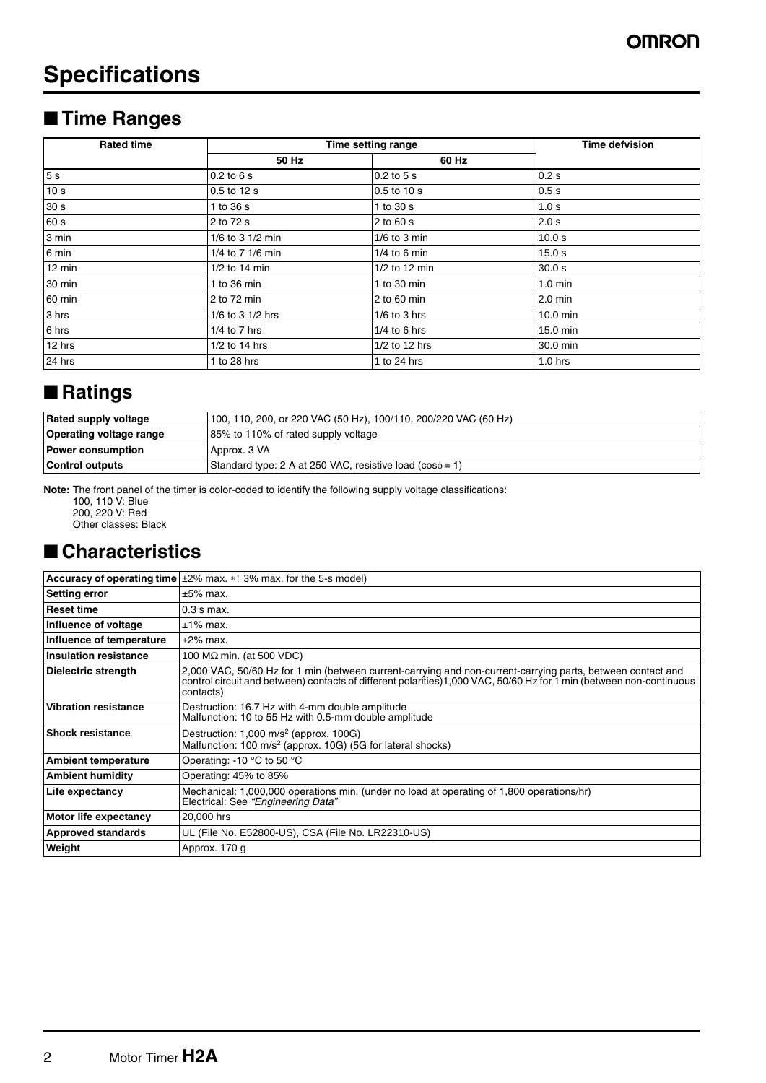## **Specifications**

## ■ **Time Ranges**

| <b>Rated time</b> | Time setting range    | <b>Time defvision</b> |            |
|-------------------|-----------------------|-----------------------|------------|
|                   | 50 Hz                 | 60 Hz                 |            |
| 5 <sub>s</sub>    | $0.2$ to $6s$         | $0.2$ to $5s$         | 0.2s       |
| 10 <sub>s</sub>   | 0.5 to 12 s           | 0.5 to 10 s           | 0.5s       |
| 30 <sub>s</sub>   | 1 to 36 s             | 1 to 30 s             | 1.0 s      |
| 60 s              | 2 to 72 s             | 2 to 60 s             | 2.0 s      |
| 3 min             | 1/6 to 3 1/2 min      | $1/6$ to 3 min        | 10.0 s     |
| 6 min             | 1/4 to 7 1/6 min      | $1/4$ to 6 min        | 15.0 s     |
| 12 min            | $1/2$ to 14 min       | $1/2$ to 12 min       | 30.0 s     |
| 30 min            | 1 to $36 \text{ min}$ | 1 to $30 \text{ min}$ | $1.0$ min  |
| 60 min            | 2 to 72 min           | $2$ to 60 min         | $2.0$ min  |
| 3 hrs             | 1/6 to 3 1/2 hrs      | $1/6$ to 3 hrs        | $10.0$ min |
| 6 hrs             | $1/4$ to $7$ hrs      | $1/4$ to 6 hrs        | 15.0 min   |
| 12 hrs            | $1/2$ to 14 hrs       | 1/2 to 12 hrs         | 30.0 min   |
| 24 hrs            | 1 to 28 hrs           | 1 to 24 hrs           | $1.0$ hrs  |

## ■ **Ratings**

| Rated supply voltage           | 100, 110, 200, or 220 VAC (50 Hz), 100/110, 200/220 VAC (60 Hz) |  |
|--------------------------------|-----------------------------------------------------------------|--|
| <b>Operating voltage range</b> | 85% to 110% of rated supply voltage                             |  |
| <b>Power consumption</b>       | Approx. 3 VA                                                    |  |
| Control outputs                | Standard type: 2 A at 250 VAC, resistive load ( $cos\phi = 1$ ) |  |

**Note:** The front panel of the timer is color-coded to identify the following supply voltage classifications:

100, 110 V: Blue 200, 220 V: Red

Other classes: Black

## ■ **Characteristics**

|                              | <b>Accuracy of operating time</b> $\pm 2\%$ max. $*!$ 3% max. for the 5-s model)                                                                                                                                                                |
|------------------------------|-------------------------------------------------------------------------------------------------------------------------------------------------------------------------------------------------------------------------------------------------|
| <b>Setting error</b>         | $\pm 5\%$ max.                                                                                                                                                                                                                                  |
| <b>Reset time</b>            | $0.3 s$ max.                                                                                                                                                                                                                                    |
| Influence of voltage         | $±1\%$ max.                                                                                                                                                                                                                                     |
| Influence of temperature     | $±2\%$ max.                                                                                                                                                                                                                                     |
| <b>Insulation resistance</b> | 100 $M\Omega$ min. (at 500 VDC)                                                                                                                                                                                                                 |
| Dielectric strength          | 2,000 VAC, 50/60 Hz for 1 min (between current-carrying and non-current-carrying parts, between contact and<br>control circuit and between) contacts of different polarities)1,000 VAC, 50/60 Hz for 1 min (between non-continuous<br>contacts) |
| <b>Vibration resistance</b>  | Destruction: 16.7 Hz with 4-mm double amplitude<br>Malfunction: 10 to 55 Hz with 0.5-mm double amplitude                                                                                                                                        |
| <b>Shock resistance</b>      | Destruction: $1,000$ m/s <sup>2</sup> (approx. $100G$ )<br>Malfunction: 100 m/s <sup>2</sup> (approx. 10G) (5G for lateral shocks)                                                                                                              |
| <b>Ambient temperature</b>   | Operating: -10 °C to 50 °C                                                                                                                                                                                                                      |
| <b>Ambient humidity</b>      | Operating: 45% to 85%                                                                                                                                                                                                                           |
| Life expectancy              | Mechanical: 1,000,000 operations min. (under no load at operating of 1,800 operations/hr)<br>Electrical: See "Engineering Data"                                                                                                                 |
| Motor life expectancy        | 20,000 hrs                                                                                                                                                                                                                                      |
| <b>Approved standards</b>    | UL (File No. E52800-US), CSA (File No. LR22310-US)                                                                                                                                                                                              |
| Weight                       | Approx. 170 g                                                                                                                                                                                                                                   |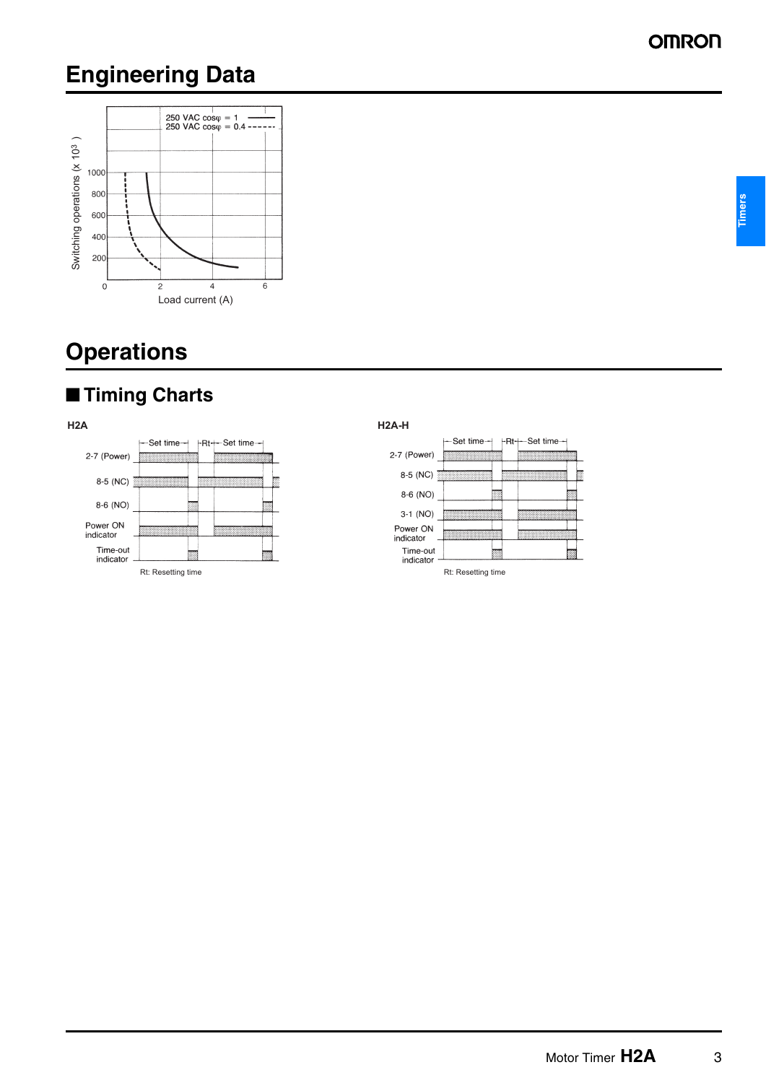## **Engineering Data**



## **Operations**







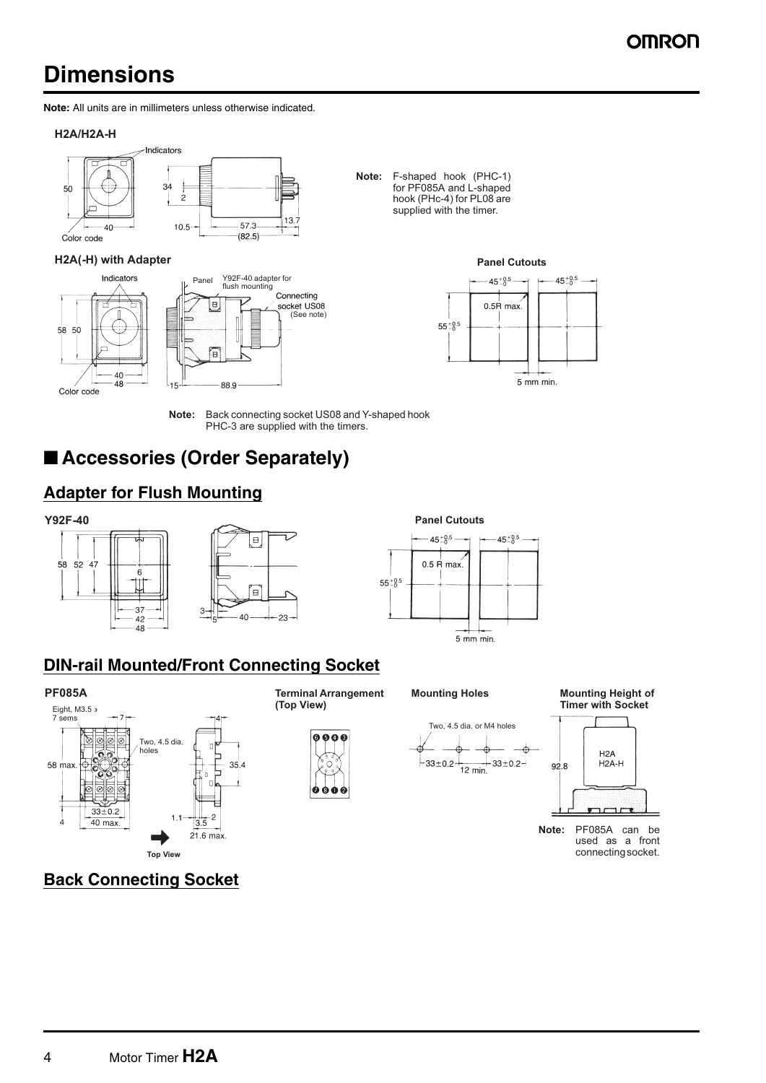## **Dimensions**

**Note:** All units are in millimeters unless otherwise indicated.

#### **H2A/H2A-H**



#### **H2A(-H)** with Adapter **Panel Cutouts Panel Cutouts**









**Note:** Back connecting socket US08 and Y-shaped hook PHC-3 are supplied with the timers.

## ■ **Accessories (Order Separately)**

### **Adapter for Flush Mounting**







### **DIN-rail Mounted/Front Connecting Socket**

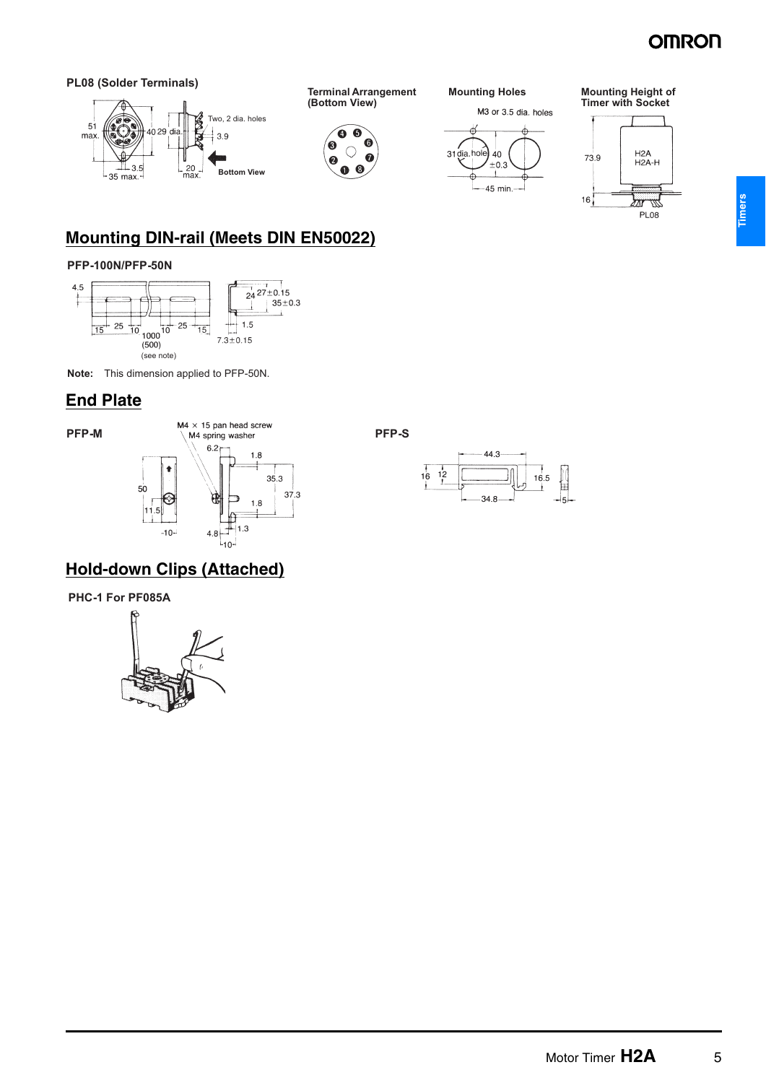## **OMRON**

PL<sub>08</sub>

**Timers**



#### **Mounting DIN-rail (Meets DIN EN50022)**

#### **PFP-100N/PFP-50N**



**Note:** This dimension applied to PFP-50N.

#### **End Plate**



#### **Hold-down Clips (Attached)**

**PHC-1 For PF085A**